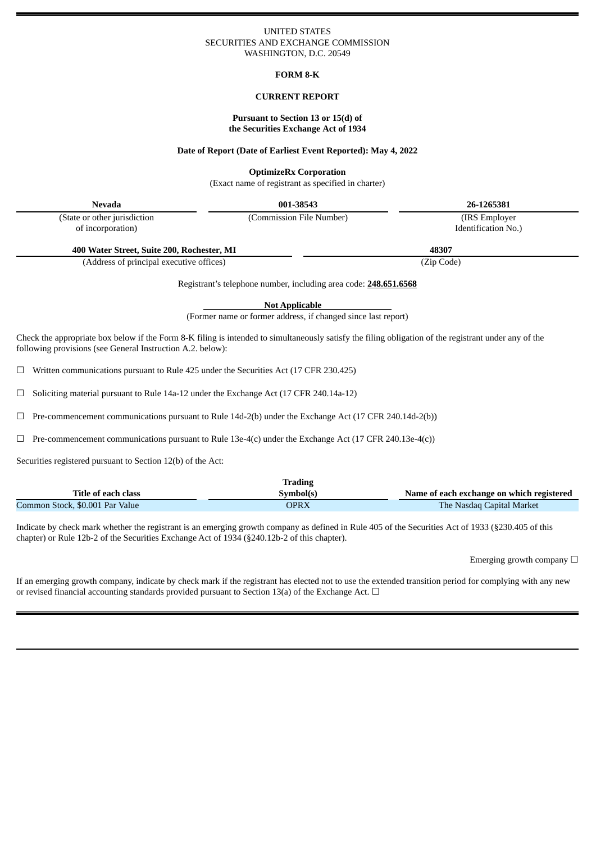#### UNITED STATES SECURITIES AND EXCHANGE COMMISSION WASHINGTON, D.C. 20549

#### **FORM 8-K**

## **CURRENT REPORT**

#### **Pursuant to Section 13 or 15(d) of the Securities Exchange Act of 1934**

#### **Date of Report (Date of Earliest Event Reported): May 4, 2022**

#### **OptimizeRx Corporation**

(Exact name of registrant as specified in charter)

| Nevada                                     | 001-38543                | 26-1265381          |
|--------------------------------------------|--------------------------|---------------------|
| (State or other jurisdiction               | (Commission File Number) | (IRS Employer)      |
| of incorporation)                          |                          | Identification No.) |
| 400 Water Street, Suite 200, Rochester, MI |                          | 48307               |
| (Address of principal executive offices)   |                          | (Zip Code)          |

Registrant's telephone number, including area code: **248.651.6568**

**Not Applicable**

(Former name or former address, if changed since last report)

Check the appropriate box below if the Form 8-K filing is intended to simultaneously satisfy the filing obligation of the registrant under any of the following provisions (see General Instruction A.2. below):

 $\Box$  Written communications pursuant to Rule 425 under the Securities Act (17 CFR 230.425)

 $\Box$  Soliciting material pursuant to Rule 14a-12 under the Exchange Act (17 CFR 240.14a-12)

☐ Pre-commencement communications pursuant to Rule 14d-2(b) under the Exchange Act (17 CFR 240.14d-2(b))

 $\Box$  Pre-commencement communications pursuant to Rule 13e-4(c) under the Exchange Act (17 CFR 240.13e-4(c))

Securities registered pursuant to Section 12(b) of the Act:

|                                 | <b>Trading</b> |                                           |
|---------------------------------|----------------|-------------------------------------------|
| Title of each class             | Symbol(s)      | Name of each exchange on which registered |
| Common Stock, \$0.001 Par Value | OPRX           | <b>The Nasdaq Capital Market</b>          |

Indicate by check mark whether the registrant is an emerging growth company as defined in Rule 405 of the Securities Act of 1933 (§230.405 of this chapter) or Rule 12b-2 of the Securities Exchange Act of 1934 (§240.12b-2 of this chapter).

Emerging growth company  $\Box$ 

If an emerging growth company, indicate by check mark if the registrant has elected not to use the extended transition period for complying with any new or revised financial accounting standards provided pursuant to Section 13(a) of the Exchange Act.  $\Box$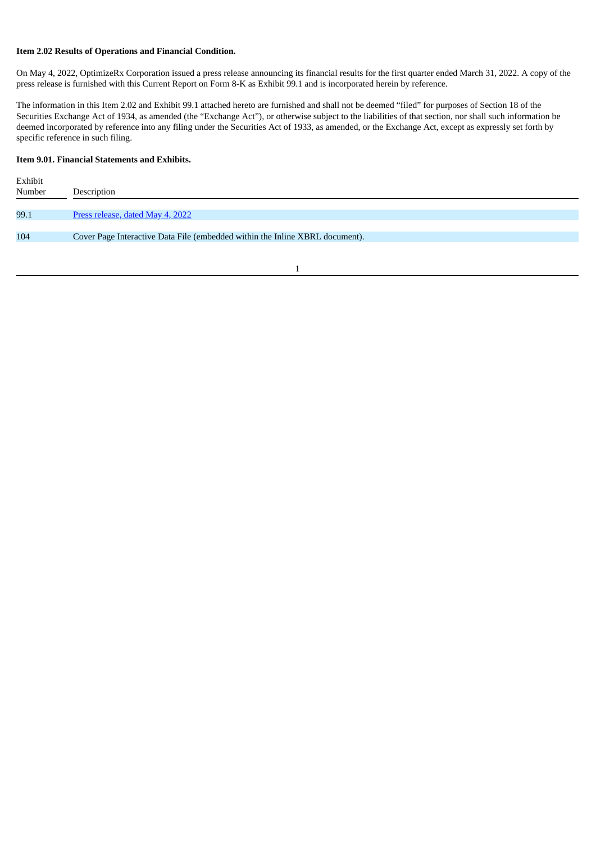# **Item 2.02 Results of Operations and Financial Condition.**

On May 4, 2022, OptimizeRx Corporation issued a press release announcing its financial results for the first quarter ended March 31, 2022. A copy of the press release is furnished with this Current Report on Form 8-K as Exhibit 99.1 and is incorporated herein by reference.

The information in this Item 2.02 and Exhibit 99.1 attached hereto are furnished and shall not be deemed "filed" for purposes of Section 18 of the Securities Exchange Act of 1934, as amended (the "Exchange Act"), or otherwise subject to the liabilities of that section, nor shall such information be deemed incorporated by reference into any filing under the Securities Act of 1933, as amended, or the Exchange Act, except as expressly set forth by specific reference in such filing.

# **Item 9.01. Financial Statements and Exhibits.**

| Exhibit |                                                                              |
|---------|------------------------------------------------------------------------------|
| Number  | Description                                                                  |
|         |                                                                              |
| 99.1    | Press release, dated May 4, 2022                                             |
|         |                                                                              |
| 104     | Cover Page Interactive Data File (embedded within the Inline XBRL document). |
|         |                                                                              |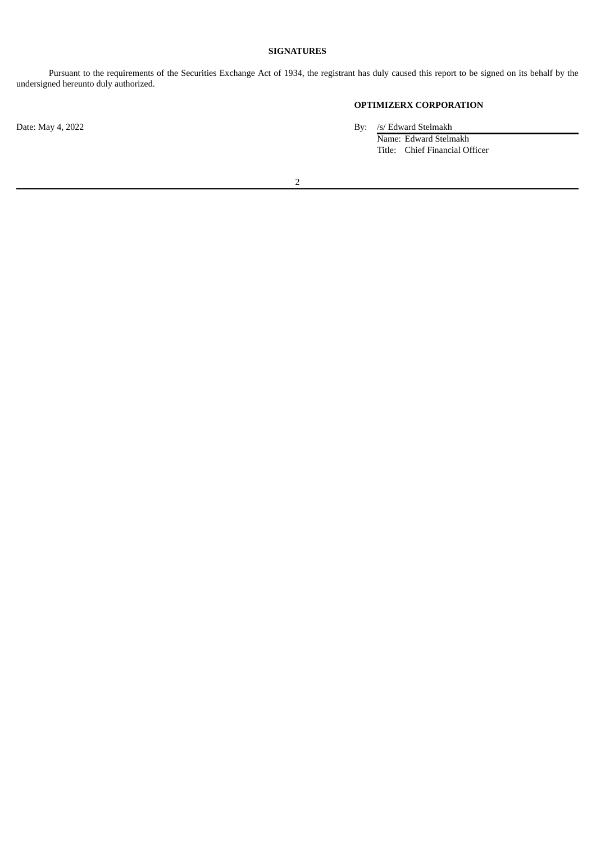# **SIGNATURES**

Pursuant to the requirements of the Securities Exchange Act of 1934, the registrant has duly caused this report to be signed on its behalf by the undersigned hereunto duly authorized.

# **OPTIMIZERX CORPORATION**

Date: May 4, 2022 By: /s/ Edward Stelmakh

Name: Edward Stelmakh Title: Chief Financial Officer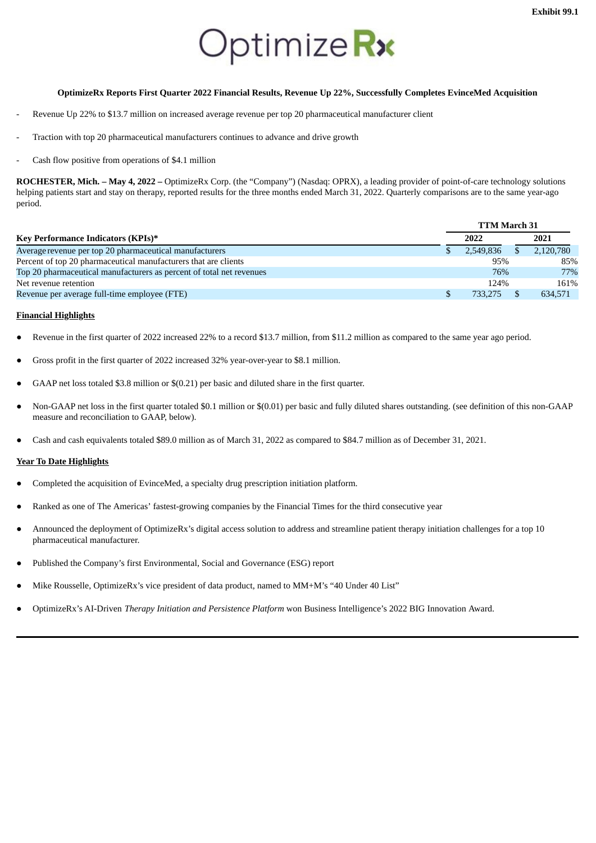# Optimize Rx

# <span id="page-3-0"></span>**OptimizeRx Reports First Quarter 2022 Financial Results, Revenue Up 22%, Successfully Completes EvinceMed Acquisition**

- Revenue Up 22% to \$13.7 million on increased average revenue per top 20 pharmaceutical manufacturer client
- Traction with top 20 pharmaceutical manufacturers continues to advance and drive growth
- Cash flow positive from operations of \$4.1 million

**ROCHESTER, Mich. – May 4, 2022 –** OptimizeRx Corp. (the "Company") (Nasdaq: OPRX), a leading provider of point-of-care technology solutions helping patients start and stay on therapy, reported results for the three months ended March 31, 2022. Quarterly comparisons are to the same year-ago period.

|                                                                      | <b>TTM March 31</b> |           |      |           |  |  |
|----------------------------------------------------------------------|---------------------|-----------|------|-----------|--|--|
| Key Performance Indicators (KPIs)*                                   | 2022                |           | 2021 |           |  |  |
| Average revenue per top 20 pharmaceutical manufacturers              |                     | 2.549.836 |      | 2,120,780 |  |  |
| Percent of top 20 pharmaceutical manufacturers that are clients      |                     | 95%       |      | 85%       |  |  |
| Top 20 pharmaceutical manufacturers as percent of total net revenues |                     | 76%       |      | 77%       |  |  |
| Net revenue retention                                                |                     | 124%      |      | 161%      |  |  |
| Revenue per average full-time employee (FTE)                         |                     | 733.275   |      | 634,571   |  |  |

#### **Financial Highlights**

- Revenue in the first quarter of 2022 increased 22% to a record \$13.7 million, from \$11.2 million as compared to the same year ago period.
- Gross profit in the first quarter of 2022 increased 32% year-over-year to \$8.1 million.
- GAAP net loss totaled \$3.8 million or \$(0.21) per basic and diluted share in the first quarter.
- Non-GAAP net loss in the first quarter totaled \$0.1 million or \$(0.01) per basic and fully diluted shares outstanding. (see definition of this non-GAAP measure and reconciliation to GAAP, below).
- Cash and cash equivalents totaled \$89.0 million as of March 31, 2022 as compared to \$84.7 million as of December 31, 2021.

#### **Year To Date Highlights**

- Completed the acquisition of EvinceMed, a specialty drug prescription initiation platform.
- Ranked as one of The Americas' fastest-growing companies by the Financial Times for the third consecutive year
- Announced the deployment of OptimizeRx's digital access solution to address and streamline patient therapy initiation challenges for a top 10 pharmaceutical manufacturer.
- Published the Company's first Environmental, Social and Governance (ESG) report
- Mike Rousselle, OptimizeRx's vice president of data product, named to MM+M's "40 Under 40 List"
- OptimizeRx's AI-Driven *Therapy Initiation and Persistence Platform* won Business Intelligence's 2022 BIG Innovation Award.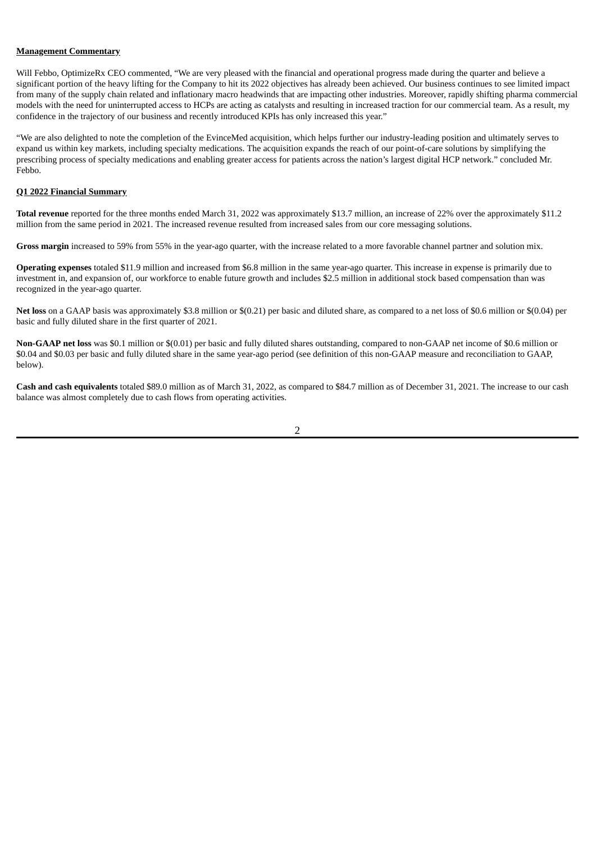#### **Management Commentary**

Will Febbo, OptimizeRx CEO commented, "We are very pleased with the financial and operational progress made during the quarter and believe a significant portion of the heavy lifting for the Company to hit its 2022 objectives has already been achieved. Our business continues to see limited impact from many of the supply chain related and inflationary macro headwinds that are impacting other industries. Moreover, rapidly shifting pharma commercial models with the need for uninterrupted access to HCPs are acting as catalysts and resulting in increased traction for our commercial team. As a result, my confidence in the trajectory of our business and recently introduced KPIs has only increased this year."

"We are also delighted to note the completion of the EvinceMed acquisition, which helps further our industry-leading position and ultimately serves to expand us within key markets, including specialty medications. The acquisition expands the reach of our point-of-care solutions by simplifying the prescribing process of specialty medications and enabling greater access for patients across the nation's largest digital HCP network." concluded Mr. Febbo.

#### **Q1 2022 Financial Summary**

**Total revenue** reported for the three months ended March 31, 2022 was approximately \$13.7 million, an increase of 22% over the approximately \$11.2 million from the same period in 2021. The increased revenue resulted from increased sales from our core messaging solutions.

**Gross margin** increased to 59% from 55% in the year-ago quarter, with the increase related to a more favorable channel partner and solution mix.

**Operating expenses** totaled \$11.9 million and increased from \$6.8 million in the same year-ago quarter. This increase in expense is primarily due to investment in, and expansion of, our workforce to enable future growth and includes \$2.5 million in additional stock based compensation than was recognized in the year-ago quarter.

**Net loss** on a GAAP basis was approximately \$3.8 million or \$(0.21) per basic and diluted share, as compared to a net loss of \$0.6 million or \$(0.04) per basic and fully diluted share in the first quarter of 2021.

**Non-GAAP net loss** was \$0.1 million or \$(0.01) per basic and fully diluted shares outstanding, compared to non-GAAP net income of \$0.6 million or \$0.04 and \$0.03 per basic and fully diluted share in the same year-ago period (see definition of this non-GAAP measure and reconciliation to GAAP, below).

**Cash and cash equivalents** totaled \$89.0 million as of March 31, 2022, as compared to \$84.7 million as of December 31, 2021. The increase to our cash balance was almost completely due to cash flows from operating activities.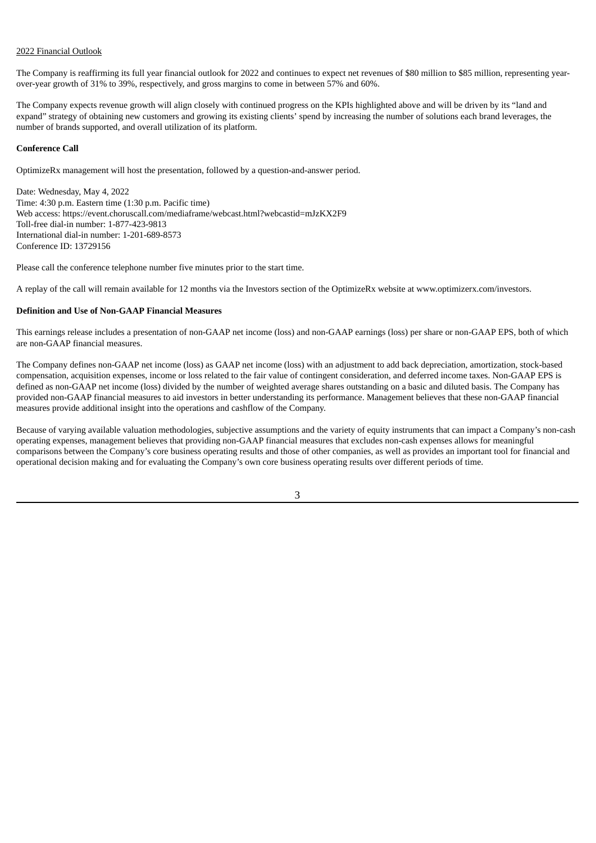#### 2022 Financial Outlook

The Company is reaffirming its full year financial outlook for 2022 and continues to expect net revenues of \$80 million to \$85 million, representing yearover-year growth of 31% to 39%, respectively, and gross margins to come in between 57% and 60%.

The Company expects revenue growth will align closely with continued progress on the KPIs highlighted above and will be driven by its "land and expand" strategy of obtaining new customers and growing its existing clients' spend by increasing the number of solutions each brand leverages, the number of brands supported, and overall utilization of its platform.

#### **Conference Call**

OptimizeRx management will host the presentation, followed by a question-and-answer period.

Date: Wednesday, May 4, 2022 Time: 4:30 p.m. Eastern time (1:30 p.m. Pacific time) Web access: https://event.choruscall.com/mediaframe/webcast.html?webcastid=mJzKX2F9 Toll-free dial-in number: 1-877-423-9813 International dial-in number: 1-201-689-8573 Conference ID: 13729156

Please call the conference telephone number five minutes prior to the start time.

A replay of the call will remain available for 12 months via the Investors section of the OptimizeRx website at www.optimizerx.com/investors.

#### **Definition and Use of Non-GAAP Financial Measures**

This earnings release includes a presentation of non-GAAP net income (loss) and non-GAAP earnings (loss) per share or non-GAAP EPS, both of which are non-GAAP financial measures.

The Company defines non-GAAP net income (loss) as GAAP net income (loss) with an adjustment to add back depreciation, amortization, stock-based compensation, acquisition expenses, income or loss related to the fair value of contingent consideration, and deferred income taxes. Non-GAAP EPS is defined as non-GAAP net income (loss) divided by the number of weighted average shares outstanding on a basic and diluted basis. The Company has provided non-GAAP financial measures to aid investors in better understanding its performance. Management believes that these non-GAAP financial measures provide additional insight into the operations and cashflow of the Company.

Because of varying available valuation methodologies, subjective assumptions and the variety of equity instruments that can impact a Company's non-cash operating expenses, management believes that providing non-GAAP financial measures that excludes non-cash expenses allows for meaningful comparisons between the Company's core business operating results and those of other companies, as well as provides an important tool for financial and operational decision making and for evaluating the Company's own core business operating results over different periods of time.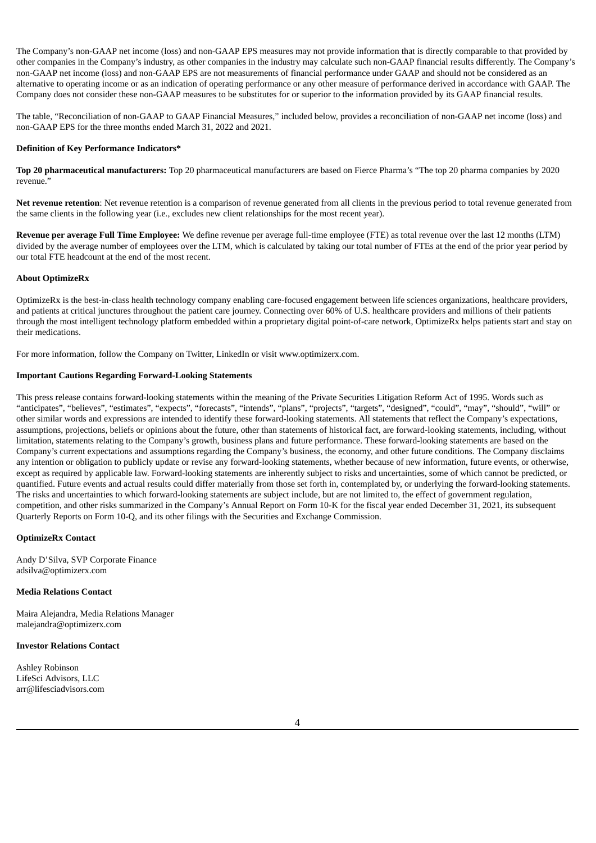The Company's non-GAAP net income (loss) and non-GAAP EPS measures may not provide information that is directly comparable to that provided by other companies in the Company's industry, as other companies in the industry may calculate such non-GAAP financial results differently. The Company's non-GAAP net income (loss) and non-GAAP EPS are not measurements of financial performance under GAAP and should not be considered as an alternative to operating income or as an indication of operating performance or any other measure of performance derived in accordance with GAAP. The Company does not consider these non-GAAP measures to be substitutes for or superior to the information provided by its GAAP financial results.

The table, "Reconciliation of non-GAAP to GAAP Financial Measures," included below, provides a reconciliation of non-GAAP net income (loss) and non-GAAP EPS for the three months ended March 31, 2022 and 2021.

#### **Definition of Key Performance Indicators\***

**Top 20 pharmaceutical manufacturers:** Top 20 pharmaceutical manufacturers are based on Fierce Pharma's "The top 20 pharma companies by 2020 revenue."

**Net revenue retention**: Net revenue retention is a comparison of revenue generated from all clients in the previous period to total revenue generated from the same clients in the following year (i.e., excludes new client relationships for the most recent year).

**Revenue per average Full Time Employee:** We define revenue per average full-time employee (FTE) as total revenue over the last 12 months (LTM) divided by the average number of employees over the LTM, which is calculated by taking our total number of FTEs at the end of the prior year period by our total FTE headcount at the end of the most recent.

#### **About OptimizeRx**

OptimizeRx is the best-in-class health technology company enabling care-focused engagement between life sciences organizations, healthcare providers, and patients at critical junctures throughout the patient care journey. Connecting over 60% of U.S. healthcare providers and millions of their patients through the most intelligent technology platform embedded within a proprietary digital point-of-care network, OptimizeRx helps patients start and stay on their medications.

For more information, follow the Company on Twitter, LinkedIn or visit www.optimizerx.com.

#### **Important Cautions Regarding Forward-Looking Statements**

This press release contains forward-looking statements within the meaning of the Private Securities Litigation Reform Act of 1995. Words such as "anticipates", "believes", "estimates", "expects", "forecasts", "intends", "plans", "projects", "targets", "designed", "could", "may", "should", "will" or other similar words and expressions are intended to identify these forward-looking statements. All statements that reflect the Company's expectations, assumptions, projections, beliefs or opinions about the future, other than statements of historical fact, are forward-looking statements, including, without limitation, statements relating to the Company's growth, business plans and future performance. These forward-looking statements are based on the Company's current expectations and assumptions regarding the Company's business, the economy, and other future conditions. The Company disclaims any intention or obligation to publicly update or revise any forward-looking statements, whether because of new information, future events, or otherwise, except as required by applicable law. Forward-looking statements are inherently subject to risks and uncertainties, some of which cannot be predicted, or quantified. Future events and actual results could differ materially from those set forth in, contemplated by, or underlying the forward-looking statements. The risks and uncertainties to which forward-looking statements are subject include, but are not limited to, the effect of government regulation, competition, and other risks summarized in the Company's Annual Report on Form 10-K for the fiscal year ended December 31, 2021, its subsequent Quarterly Reports on Form 10-Q, and its other filings with the Securities and Exchange Commission.

#### **OptimizeRx Contact**

Andy D'Silva, SVP Corporate Finance adsilva@optimizerx.com

#### **Media Relations Contact**

Maira Alejandra, Media Relations Manager malejandra@optimizerx.com

#### **Investor Relations Contact**

Ashley Robinson LifeSci Advisors, LLC arr@lifesciadvisors.com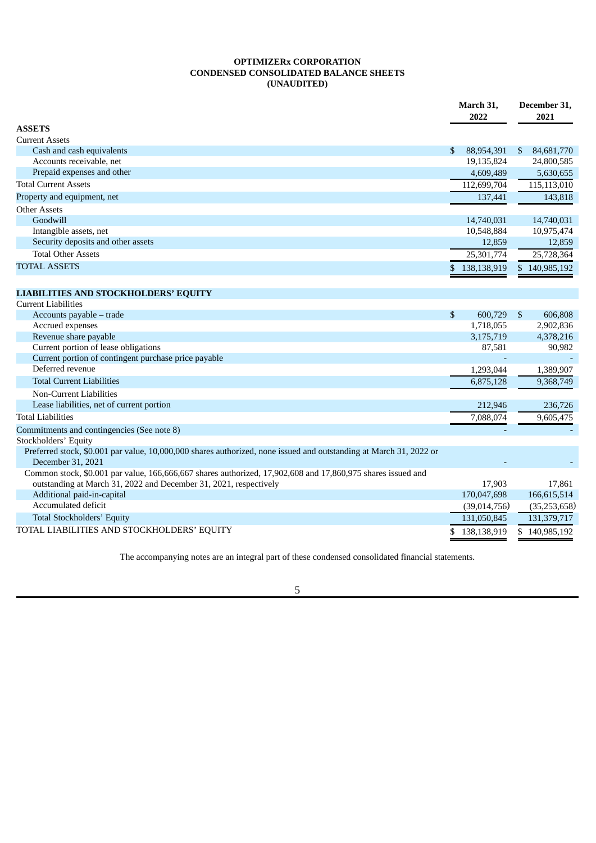# **OPTIMIZERx CORPORATION CONDENSED CONSOLIDATED BALANCE SHEETS (UNAUDITED)**

|                                                                                                                    |    | March 31,<br>2022 |                | December 31,<br>2021 |  |
|--------------------------------------------------------------------------------------------------------------------|----|-------------------|----------------|----------------------|--|
| <b>ASSETS</b>                                                                                                      |    |                   |                |                      |  |
| <b>Current Assets</b>                                                                                              |    |                   |                |                      |  |
| Cash and cash equivalents                                                                                          | \$ | 88,954,391        | \$             | 84,681,770           |  |
| Accounts receivable, net                                                                                           |    | 19,135,824        |                | 24,800,585           |  |
| Prepaid expenses and other                                                                                         |    | 4,609,489         |                | 5,630,655            |  |
| <b>Total Current Assets</b>                                                                                        |    | 112,699,704       |                | 115,113,010          |  |
| Property and equipment, net                                                                                        |    | 137,441           |                | 143,818              |  |
| <b>Other Assets</b>                                                                                                |    |                   |                |                      |  |
| Goodwill                                                                                                           |    | 14,740,031        |                | 14,740,031           |  |
| Intangible assets, net                                                                                             |    | 10,548,884        |                | 10,975,474           |  |
| Security deposits and other assets                                                                                 |    | 12,859            |                | 12,859               |  |
| <b>Total Other Assets</b>                                                                                          |    | 25,301,774        |                | 25,728,364           |  |
| <b>TOTAL ASSETS</b>                                                                                                | \$ | 138,138,919       |                | \$140,985,192        |  |
|                                                                                                                    |    |                   |                |                      |  |
| <b>LIABILITIES AND STOCKHOLDERS' EQUITY</b>                                                                        |    |                   |                |                      |  |
| <b>Current Liabilities</b>                                                                                         |    |                   |                |                      |  |
| Accounts payable - trade                                                                                           | \$ | 600,729           | $\mathfrak{S}$ | 606,808              |  |
| Accrued expenses                                                                                                   |    | 1,718,055         |                | 2,902,836            |  |
| Revenue share payable                                                                                              |    | 3,175,719         |                | 4,378,216            |  |
| Current portion of lease obligations                                                                               |    | 87,581            |                | 90,982               |  |
| Current portion of contingent purchase price payable                                                               |    |                   |                |                      |  |
| Deferred revenue                                                                                                   |    | 1,293,044         |                | 1,389,907            |  |
| <b>Total Current Liabilities</b>                                                                                   |    | 6,875,128         |                | 9,368,749            |  |
| Non-Current Liabilities                                                                                            |    |                   |                |                      |  |
| Lease liabilities, net of current portion                                                                          |    | 212,946           |                | 236,726              |  |
| <b>Total Liabilities</b>                                                                                           |    | 7,088,074         |                | 9,605,475            |  |
| Commitments and contingencies (See note 8)                                                                         |    |                   |                |                      |  |
| Stockholders' Equity                                                                                               |    |                   |                |                      |  |
| Preferred stock, \$0.001 par value, 10,000,000 shares authorized, none issued and outstanding at March 31, 2022 or |    |                   |                |                      |  |
| December 31, 2021                                                                                                  |    |                   |                |                      |  |
| Common stock, \$0.001 par value, 166,666,667 shares authorized, 17,902,608 and 17,860,975 shares issued and        |    |                   |                |                      |  |
| outstanding at March 31, 2022 and December 31, 2021, respectively                                                  |    | 17,903            |                | 17,861               |  |
| Additional paid-in-capital                                                                                         |    | 170,047,698       |                | 166,615,514          |  |
| Accumulated deficit                                                                                                |    | (39,014,756)      |                | (35, 253, 658)       |  |
| <b>Total Stockholders' Equity</b>                                                                                  |    | 131,050,845       |                | 131,379,717          |  |
| TOTAL LIABILITIES AND STOCKHOLDERS' EQUITY                                                                         | S  | 138,138,919       |                | \$140,985,192        |  |

The accompanying notes are an integral part of these condensed consolidated financial statements.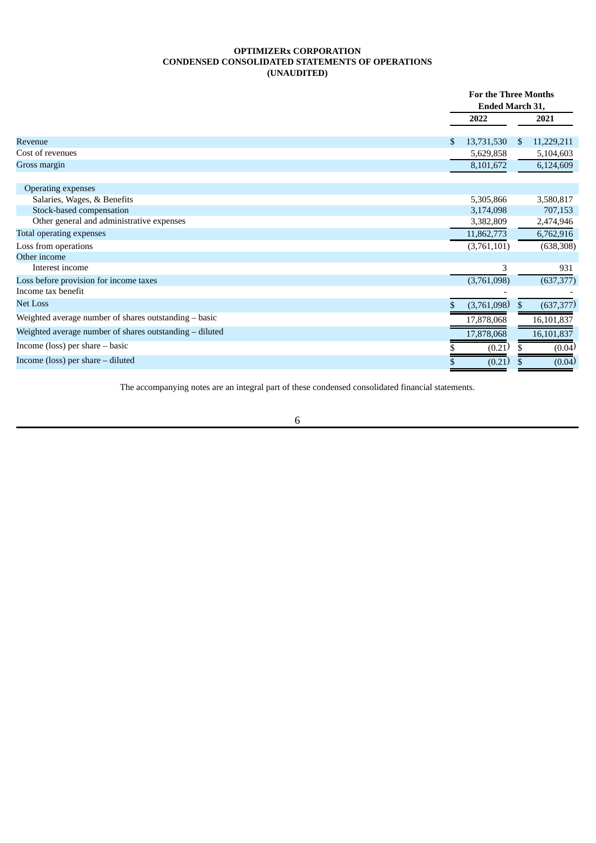# **OPTIMIZERx CORPORATION CONDENSED CONSOLIDATED STATEMENTS OF OPERATIONS (UNAUDITED)**

|                                                           | <b>For the Three Months</b> |             |     |            |
|-----------------------------------------------------------|-----------------------------|-------------|-----|------------|
|                                                           | Ended March 31,             |             |     |            |
|                                                           |                             | 2022        |     | 2021       |
| <b>Revenue</b>                                            | \$                          | 13,731,530  | \$. | 11,229,211 |
| Cost of revenues                                          |                             | 5,629,858   |     | 5,104,603  |
| Gross margin                                              |                             | 8,101,672   |     | 6,124,609  |
|                                                           |                             |             |     |            |
| <b>Operating expenses</b>                                 |                             |             |     |            |
| Salaries, Wages, & Benefits                               |                             | 5,305,866   |     | 3,580,817  |
| Stock-based compensation                                  |                             | 3,174,098   |     | 707,153    |
| Other general and administrative expenses                 |                             | 3,382,809   |     | 2,474,946  |
| Total operating expenses                                  |                             | 11,862,773  |     | 6,762,916  |
| Loss from operations                                      |                             | (3,761,101) |     | (638, 308) |
| Other income                                              |                             |             |     |            |
| Interest income                                           |                             | 3           |     | 931        |
| Loss before provision for income taxes                    |                             | (3,761,098) |     | (637, 377) |
| Income tax benefit                                        |                             |             |     |            |
| <b>Net Loss</b>                                           |                             | (3,761,098) | \$  | (637, 377) |
| Weighted average number of shares outstanding - basic     |                             | 17,878,068  |     | 16,101,837 |
| Weighted average number of shares outstanding $-$ diluted |                             | 17,878,068  |     | 16,101,837 |
| Income (loss) per share $-$ basic                         |                             | (0.21)      |     | (0.04)     |
| Income (loss) per share $-$ diluted                       |                             | (0.21)      |     | (0.04)     |

The accompanying notes are an integral part of these condensed consolidated financial statements.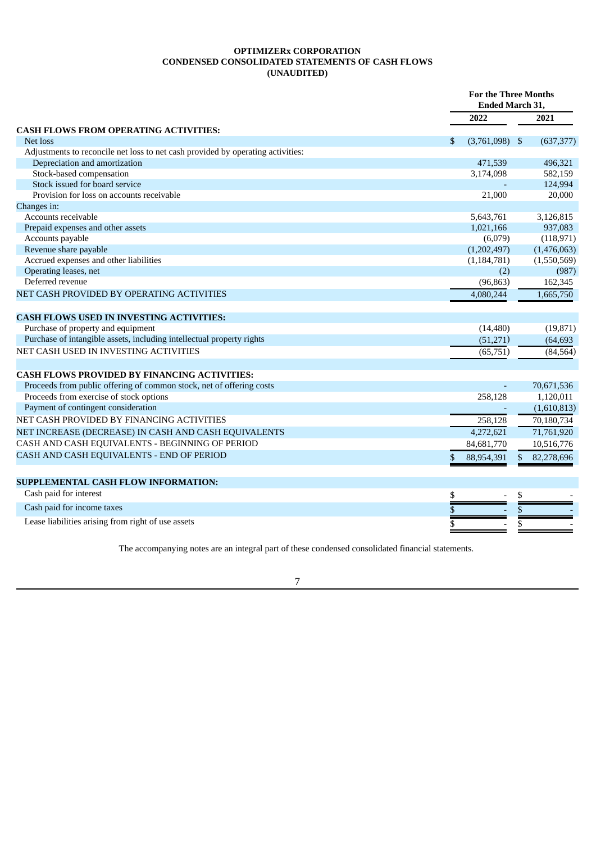# **OPTIMIZERx CORPORATION CONDENSED CONSOLIDATED STATEMENTS OF CASH FLOWS (UNAUDITED)**

|                                                                                 |                        | <b>For the Three Months</b><br><b>Ended March 31,</b> |             |  |
|---------------------------------------------------------------------------------|------------------------|-------------------------------------------------------|-------------|--|
|                                                                                 | 2022                   |                                                       | 2021        |  |
| <b>CASH FLOWS FROM OPERATING ACTIVITIES:</b>                                    |                        |                                                       |             |  |
| Net loss                                                                        | \$<br>$(3,761,098)$ \$ |                                                       | (637, 377)  |  |
| Adjustments to reconcile net loss to net cash provided by operating activities: |                        |                                                       |             |  |
| Depreciation and amortization                                                   | 471,539                |                                                       | 496,321     |  |
| Stock-based compensation                                                        | 3,174,098              |                                                       | 582,159     |  |
| Stock issued for board service                                                  |                        |                                                       | 124,994     |  |
| Provision for loss on accounts receivable                                       | 21,000                 |                                                       | 20,000      |  |
| Changes in:                                                                     |                        |                                                       |             |  |
| Accounts receivable                                                             | 5,643,761              |                                                       | 3,126,815   |  |
| Prepaid expenses and other assets                                               | 1,021,166              |                                                       | 937,083     |  |
| Accounts payable                                                                | (6,079)                |                                                       | (118, 971)  |  |
| Revenue share payable                                                           | (1,202,497)            |                                                       | (1,476,063) |  |
| Accrued expenses and other liabilities                                          | (1, 184, 781)          |                                                       | (1,550,569) |  |
| Operating leases, net                                                           | (2)                    |                                                       | (987)       |  |
| Deferred revenue                                                                | (96, 863)              |                                                       | 162,345     |  |
| NET CASH PROVIDED BY OPERATING ACTIVITIES                                       | 4,080,244              |                                                       | 1,665,750   |  |
| <b>CASH FLOWS USED IN INVESTING ACTIVITIES:</b>                                 |                        |                                                       |             |  |
| Purchase of property and equipment                                              | (14, 480)              |                                                       | (19, 871)   |  |
| Purchase of intangible assets, including intellectual property rights           | (51,271)               |                                                       | (64, 693)   |  |
| NET CASH USED IN INVESTING ACTIVITIES                                           | (65,751)               |                                                       | (84, 564)   |  |
| <b>CASH FLOWS PROVIDED BY FINANCING ACTIVITIES:</b>                             |                        |                                                       |             |  |
| Proceeds from public offering of common stock, net of offering costs            | $\blacksquare$         |                                                       | 70,671,536  |  |
| Proceeds from exercise of stock options                                         | 258,128                |                                                       | 1,120,011   |  |
| Payment of contingent consideration                                             |                        |                                                       | (1,610,813) |  |
| NET CASH PROVIDED BY FINANCING ACTIVITIES                                       | 258,128                |                                                       | 70,180,734  |  |
|                                                                                 |                        |                                                       |             |  |
| NET INCREASE (DECREASE) IN CASH AND CASH EQUIVALENTS                            | 4,272,621              |                                                       | 71,761,920  |  |
| CASH AND CASH EQUIVALENTS - BEGINNING OF PERIOD                                 | 84,681,770             |                                                       | 10,516,776  |  |
| CASH AND CASH EQUIVALENTS - END OF PERIOD                                       | 88,954,391<br>S        | \$                                                    | 82,278,696  |  |
| SUPPLEMENTAL CASH FLOW INFORMATION:                                             |                        |                                                       |             |  |
| Cash paid for interest                                                          | \$                     | \$                                                    |             |  |
| Cash paid for income taxes                                                      | \$                     | \$                                                    |             |  |
|                                                                                 |                        |                                                       |             |  |
| Lease liabilities arising from right of use assets                              | \$                     | \$                                                    |             |  |

The accompanying notes are an integral part of these condensed consolidated financial statements.